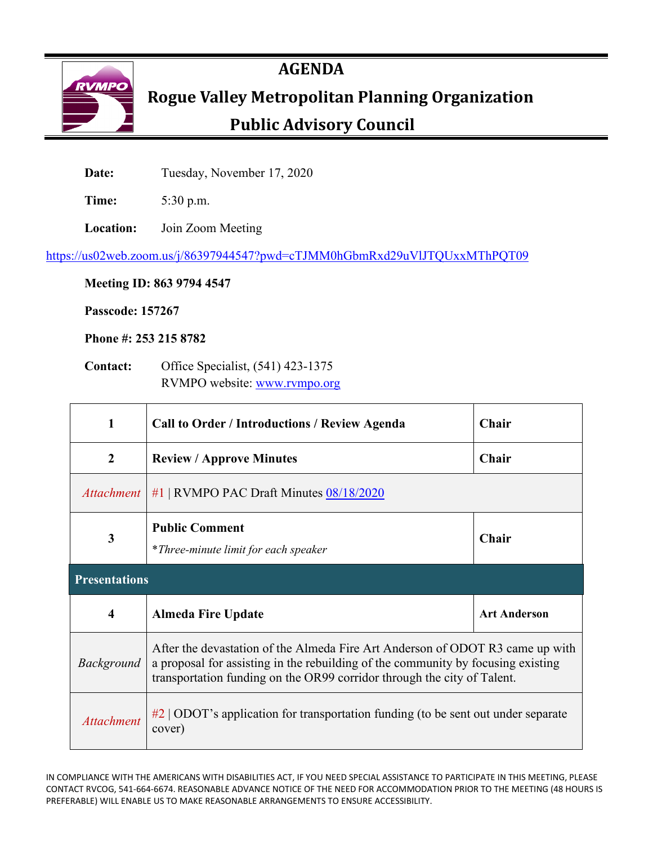

# **AGENDA**

# ROGUE Valley Metropolitan Planning Organization

# **Public Advisory Council**

Date: Tuesday, November 17, 2020

**Time:** 5:30 p.m.

**Location:** Join Zoom Meeting

<https://us02web.zoom.us/j/86397944547?pwd=cTJMM0hGbmRxd29uVlJTQUxxMThPQT09>

**Meeting ID: 863 9794 4547**

**Passcode: 157267**

**Phone #: 253 215 8782** 

**Contact:** Office Specialist, (541) 423-1375 RVMPO website: [www.rvmpo.org](http://www.rvmpo.org/)

| 1                       | <b>Call to Order / Introductions / Review Agenda</b>                                                                                                                                                                                         | <b>Chair</b>        |  |  |  |  |  |  |
|-------------------------|----------------------------------------------------------------------------------------------------------------------------------------------------------------------------------------------------------------------------------------------|---------------------|--|--|--|--|--|--|
| $\boldsymbol{2}$        | <b>Review / Approve Minutes</b>                                                                                                                                                                                                              | Chair               |  |  |  |  |  |  |
| <i>Attachment</i>       | #1   RVMPO PAC Draft Minutes $08/18/2020$                                                                                                                                                                                                    |                     |  |  |  |  |  |  |
| 3                       | <b>Public Comment</b><br>*Three-minute limit for each speaker                                                                                                                                                                                | Chair               |  |  |  |  |  |  |
| <b>Presentations</b>    |                                                                                                                                                                                                                                              |                     |  |  |  |  |  |  |
| $\overline{\mathbf{4}}$ | <b>Almeda Fire Update</b>                                                                                                                                                                                                                    | <b>Art Anderson</b> |  |  |  |  |  |  |
| <i>Background</i>       | After the devastation of the Almeda Fire Art Anderson of ODOT R3 came up with<br>a proposal for assisting in the rebuilding of the community by focusing existing<br>transportation funding on the OR99 corridor through the city of Talent. |                     |  |  |  |  |  |  |
| <b>Attachment</b>       | $\#2$   ODOT's application for transportation funding (to be sent out under separate<br>cover)                                                                                                                                               |                     |  |  |  |  |  |  |

IN COMPLIANCE WITH THE AMERICANS WITH DISABILITIES ACT, IF YOU NEED SPECIAL ASSISTANCE TO PARTICIPATE IN THIS MEETING, PLEASE CONTACT RVCOG, 541-664-6674. REASONABLE ADVANCE NOTICE OF THE NEED FOR ACCOMMODATION PRIOR TO THE MEETING (48 HOURS IS PREFERABLE) WILL ENABLE US TO MAKE REASONABLE ARRANGEMENTS TO ENSURE ACCESSIBILITY.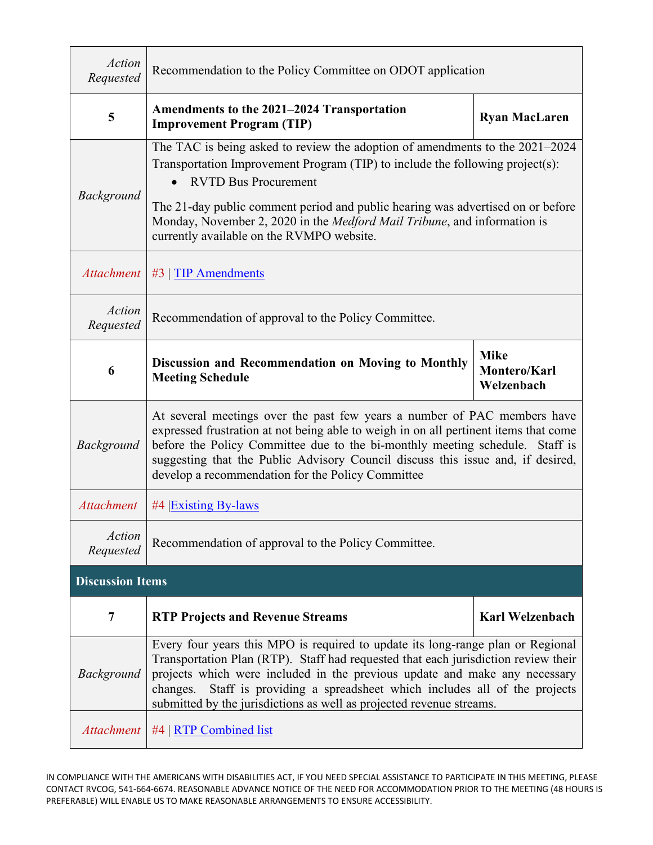| <b>Action</b><br>Requested | Recommendation to the Policy Committee on ODOT application                                                                                                                                                                                                                                                                                                                                                     |                        |  |  |  |  |  |  |
|----------------------------|----------------------------------------------------------------------------------------------------------------------------------------------------------------------------------------------------------------------------------------------------------------------------------------------------------------------------------------------------------------------------------------------------------------|------------------------|--|--|--|--|--|--|
| 5                          | Amendments to the 2021–2024 Transportation<br><b>Ryan MacLaren</b><br><b>Improvement Program (TIP)</b>                                                                                                                                                                                                                                                                                                         |                        |  |  |  |  |  |  |
| <b>Background</b>          | The TAC is being asked to review the adoption of amendments to the 2021–2024<br>Transportation Improvement Program (TIP) to include the following project(s):<br><b>RVTD Bus Procurement</b><br>The 21-day public comment period and public hearing was advertised on or before<br>Monday, November 2, 2020 in the Medford Mail Tribune, and information is<br>currently available on the RVMPO website.       |                        |  |  |  |  |  |  |
| <b>Attachment</b>          | $#3$   TIP Amendments                                                                                                                                                                                                                                                                                                                                                                                          |                        |  |  |  |  |  |  |
| <b>Action</b><br>Requested | Recommendation of approval to the Policy Committee.                                                                                                                                                                                                                                                                                                                                                            |                        |  |  |  |  |  |  |
| 6                          | <b>Mike</b><br>Discussion and Recommendation on Moving to Monthly<br>Montero/Karl<br><b>Meeting Schedule</b><br>Welzenbach                                                                                                                                                                                                                                                                                     |                        |  |  |  |  |  |  |
| Background                 | At several meetings over the past few years a number of PAC members have<br>expressed frustration at not being able to weigh in on all pertinent items that come<br>before the Policy Committee due to the bi-monthly meeting schedule. Staff is<br>suggesting that the Public Advisory Council discuss this issue and, if desired,<br>develop a recommendation for the Policy Committee                       |                        |  |  |  |  |  |  |
| <b>Attachment</b>          | #4 Existing By-laws                                                                                                                                                                                                                                                                                                                                                                                            |                        |  |  |  |  |  |  |
| <b>Action</b><br>Requested | Recommendation of approval to the Policy Committee.                                                                                                                                                                                                                                                                                                                                                            |                        |  |  |  |  |  |  |
| <b>Discussion Items</b>    |                                                                                                                                                                                                                                                                                                                                                                                                                |                        |  |  |  |  |  |  |
| 7                          | <b>RTP Projects and Revenue Streams</b>                                                                                                                                                                                                                                                                                                                                                                        | <b>Karl Welzenbach</b> |  |  |  |  |  |  |
| Background                 | Every four years this MPO is required to update its long-range plan or Regional<br>Transportation Plan (RTP). Staff had requested that each jurisdiction review their<br>projects which were included in the previous update and make any necessary<br>Staff is providing a spreadsheet which includes all of the projects<br>changes.<br>submitted by the jurisdictions as well as projected revenue streams. |                        |  |  |  |  |  |  |
| <b>Attachment</b>          | #4   RTP Combined list                                                                                                                                                                                                                                                                                                                                                                                         |                        |  |  |  |  |  |  |

IN COMPLIANCE WITH THE AMERICANS WITH DISABILITIES ACT, IF YOU NEED SPECIAL ASSISTANCE TO PARTICIPATE IN THIS MEETING, PLEASE CONTACT RVCOG, 541-664-6674. REASONABLE ADVANCE NOTICE OF THE NEED FOR ACCOMMODATION PRIOR TO THE MEETING (48 HOURS IS PREFERABLE) WILL ENABLE US TO MAKE REASONABLE ARRANGEMENTS TO ENSURE ACCESSIBILITY.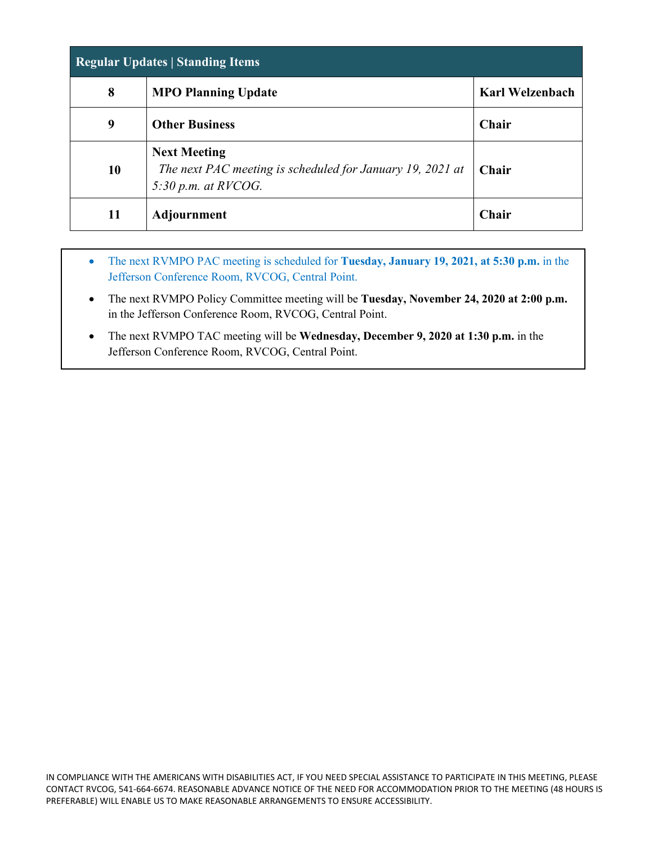| <b>Regular Updates   Standing Items</b> |                                                                                                           |                        |  |  |  |  |  |
|-----------------------------------------|-----------------------------------------------------------------------------------------------------------|------------------------|--|--|--|--|--|
| 8                                       | <b>MPO Planning Update</b>                                                                                | <b>Karl Welzenbach</b> |  |  |  |  |  |
| 9                                       | <b>Other Business</b>                                                                                     | Chair                  |  |  |  |  |  |
| 10                                      | <b>Next Meeting</b><br>The next PAC meeting is scheduled for January 19, 2021 at<br>$5:30$ p.m. at RVCOG. | <b>Chair</b>           |  |  |  |  |  |
| 11                                      | <b>Adjournment</b>                                                                                        | <b>Chair</b>           |  |  |  |  |  |

- The next RVMPO PAC meeting is scheduled for **Tuesday, January 19, 2021, at 5:30 p.m.** in the Jefferson Conference Room, RVCOG, Central Point.
- The next RVMPO Policy Committee meeting will be **Tuesday, November 24, 2020 at 2:00 p.m.** in the Jefferson Conference Room, RVCOG, Central Point.
- The next RVMPO TAC meeting will be **Wednesday, December 9, 2020 at 1:30 p.m.** in the Jefferson Conference Room, RVCOG, Central Point.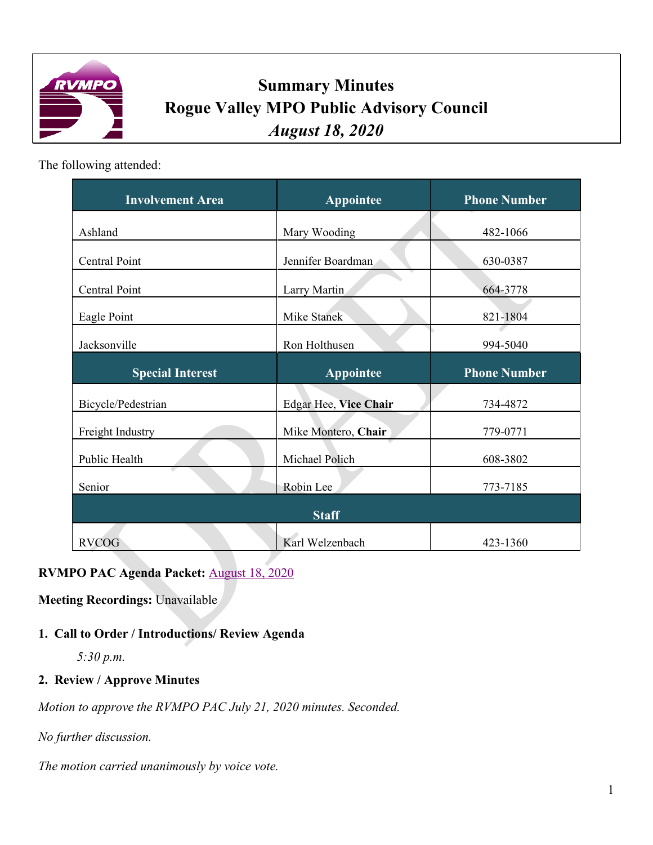<span id="page-3-0"></span>

# **Summary Minutes Rogue Valley MPO Public Advisory Council** *August 18, 2020*

The following attended:

| <b>Involvement Area</b> | <b>Appointee</b>      | <b>Phone Number</b> |  |  |  |
|-------------------------|-----------------------|---------------------|--|--|--|
| Ashland                 | Mary Wooding          | 482-1066            |  |  |  |
| <b>Central Point</b>    | Jennifer Boardman     | 630-0387            |  |  |  |
| Central Point           | Larry Martin          | 664-3778            |  |  |  |
| Eagle Point             | Mike Stanek           | 821-1804            |  |  |  |
| Jacksonville            | Ron Holthusen         | 994-5040            |  |  |  |
| <b>Special Interest</b> | <b>Appointee</b>      | <b>Phone Number</b> |  |  |  |
|                         |                       |                     |  |  |  |
| Bicycle/Pedestrian      | Edgar Hee, Vice Chair | 734-4872            |  |  |  |
| Freight Industry        | Mike Montero, Chair   | 779-0771            |  |  |  |
| Public Health           | Michael Polich        | 608-3802            |  |  |  |
| Senior                  | Robin Lee             | 773-7185            |  |  |  |
|                         | <b>Staff</b>          |                     |  |  |  |

# **RVMPO PAC Agenda Packet:** [August 18, 2020](http://rvmpo.org/wp-content/uploads/2019/09/Agenda-Packet-2.pdf)

**Meeting Recordings:** Unavailable

## **1. Call to Order / Introductions/ Review Agenda**

*5:30 p.m.*

#### **2. Review / Approve Minutes**

*Motion to approve the RVMPO PAC July 21, 2020 minutes. Seconded.*

*No further discussion.*

*The motion carried unanimously by voice vote.*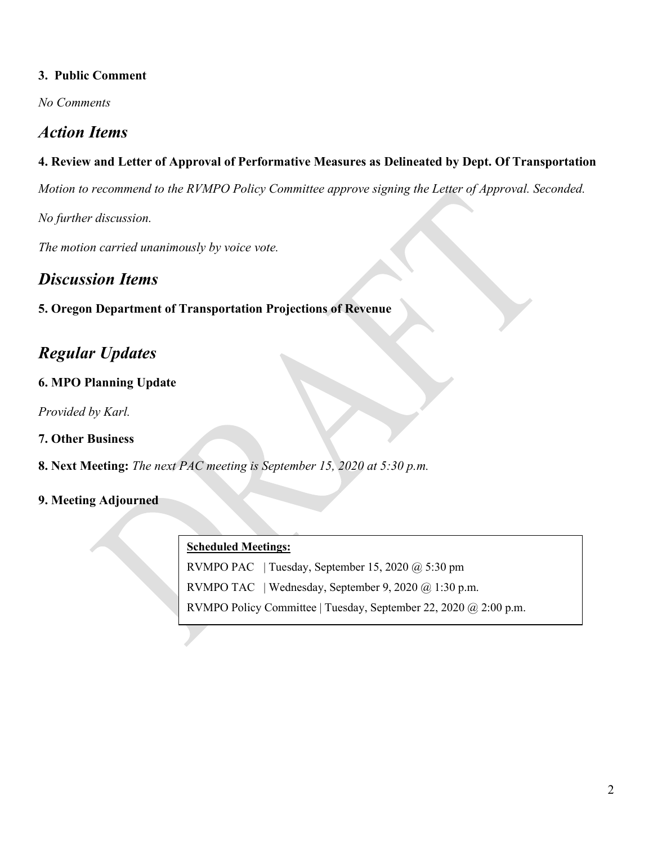#### **3. Public Comment**

*No Comments*

# *Action Items*

#### **4. Review and Letter of Approval of Performative Measures as Delineated by Dept. Of Transportation**

*Motion to recommend to the RVMPO Policy Committee approve signing the Letter of Approval. Seconded.* 

*No further discussion.*

*The motion carried unanimously by voice vote.*

# *Discussion Items*

#### **5. Oregon Department of Transportation Projections of Revenue**

# *Regular Updates*

#### **6. MPO Planning Update**

*Provided by Karl.*

#### **7. Other Business**

**8. Next Meeting:** *The next PAC meeting is September 15, 2020 at 5:30 p.m.*

#### **9. Meeting Adjourned**

#### **Scheduled Meetings:**

RVMPO PAC | Tuesday, September 15, 2020 @ 5:30 pm

RVMPO TAC | Wednesday, September 9, 2020 @ 1:30 p.m.

RVMPO Policy Committee | Tuesday, September 22, 2020 @ 2:00 p.m.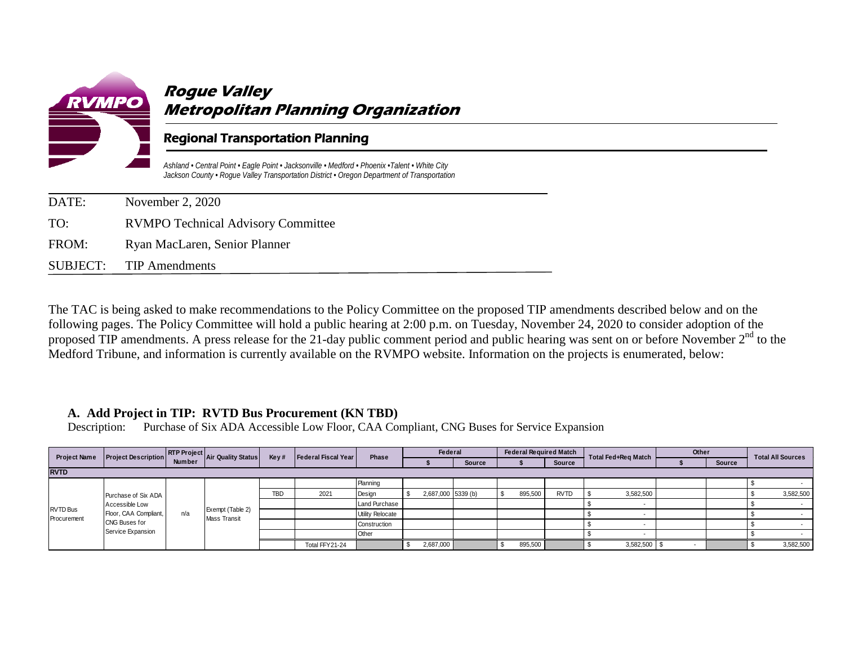<span id="page-5-0"></span>

| DATE: | November 2, 2020                          |
|-------|-------------------------------------------|
| TO:   | <b>RVMPO Technical Advisory Committee</b> |
| FROM: | Ryan MacLaren, Senior Planner             |
|       | SUBJECT: TIP Amendments                   |

The TAC is being asked to make recommendations to the Policy Committee on the proposed TIP amendments described below and on the following pages. The Policy Committee will hold a public hearing at 2:00 p.m. on Tuesday, November 24, 2020 to consider adoption of the proposed TIP amendments. A press release for the 21-day public comment period and public hearing was sent on or before November 2<sup>nd</sup> to the Medford Tribune, and information is currently available on the RVMPO website. Information on the projects is enumerated, below:

#### **A. Add Project in TIP: RVTD Bus Procurement (KN TBD)**

Description: Purchase of Six ADA Accessible Low Floor, CAA Compliant, CNG Buses for Service Expansion

|                                | Project Description RTP Project<br>Number Air Quality Status<br><b>Project Name</b>                  |     |                                         | Key#       | Federal Fiscal Year | Phase            | Federal   |                    | <b>Federal Required Match</b> |         |               | Total Fed+Reg Match | Other |        | <b>Total All Sources</b> |
|--------------------------------|------------------------------------------------------------------------------------------------------|-----|-----------------------------------------|------------|---------------------|------------------|-----------|--------------------|-------------------------------|---------|---------------|---------------------|-------|--------|--------------------------|
|                                |                                                                                                      |     |                                         |            |                     |                  |           | <b>Source</b>      |                               |         | <b>Source</b> |                     |       | Source |                          |
| <b>RVTD</b>                    |                                                                                                      |     |                                         |            |                     |                  |           |                    |                               |         |               |                     |       |        |                          |
| <b>RVTD Bus</b><br>Procurement | Purchase of Six ADA<br>Accessible Low<br>Floor, CAA Compliant,<br>CNG Buses for<br>Service Expansion |     |                                         |            |                     | Planning         |           |                    |                               |         |               |                     |       |        |                          |
|                                |                                                                                                      | n/a | Exempt (Table 2)<br><b>Mass Transit</b> | <b>TBD</b> | 2021                | Design           |           | 2,687,000 5339 (b) |                               | 895,500 | <b>RVTD</b>   | 3,582,500           |       |        | 3,582,500                |
|                                |                                                                                                      |     |                                         |            |                     | Land Purchase    |           |                    |                               |         |               |                     |       |        |                          |
|                                |                                                                                                      |     |                                         |            |                     | Utility Relocate |           |                    |                               |         |               |                     |       |        |                          |
|                                |                                                                                                      |     |                                         |            |                     | Construction     |           |                    |                               |         |               |                     |       |        |                          |
|                                |                                                                                                      |     |                                         |            |                     | Other            |           |                    |                               |         |               |                     |       |        |                          |
|                                |                                                                                                      |     |                                         |            | Total FFY21-24      |                  | 2,687,000 |                    |                               | 895,500 |               | 3,582,500           |       |        | 3,582,500                |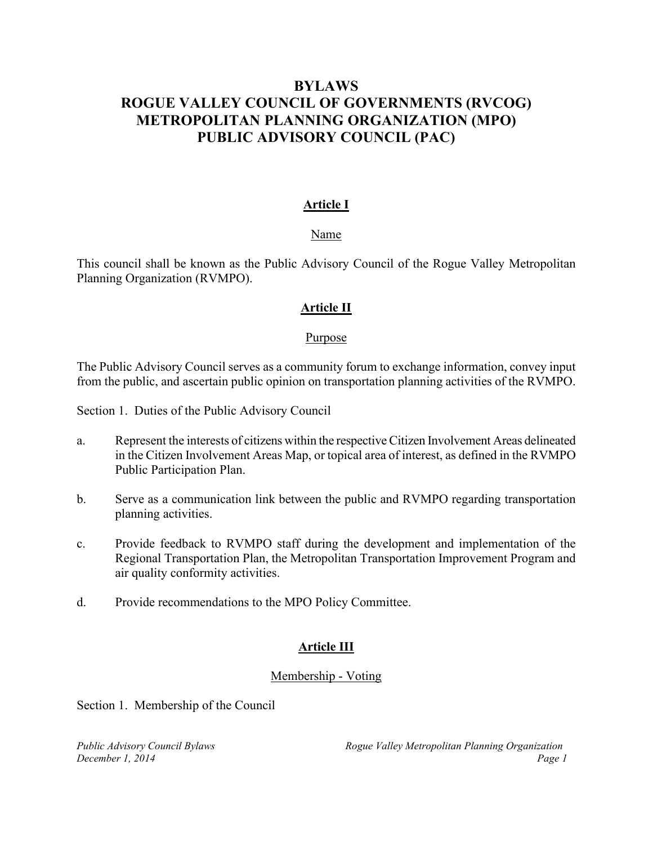### <span id="page-6-0"></span>**BYLAWS ROGUE VALLEY COUNCIL OF GOVERNMENTS (RVCOG) METROPOLITAN PLANNING ORGANIZATION (MPO) PUBLIC ADVISORY COUNCIL (PAC)**

#### **Article I**

#### Name

This council shall be known as the Public Advisory Council of the Rogue Valley Metropolitan Planning Organization (RVMPO).

#### **Article II**

#### Purpose

The Public Advisory Council serves as a community forum to exchange information, convey input from the public, and ascertain public opinion on transportation planning activities of the RVMPO.

Section 1. Duties of the Public Advisory Council

- a. Represent the interests of citizens within the respective Citizen Involvement Areas delineated in the Citizen Involvement Areas Map, or topical area of interest, as defined in the RVMPO Public Participation Plan.
- b. Serve as a communication link between the public and RVMPO regarding transportation planning activities.
- c. Provide feedback to RVMPO staff during the development and implementation of the Regional Transportation Plan, the Metropolitan Transportation Improvement Program and air quality conformity activities.
- d. Provide recommendations to the MPO Policy Committee.

#### **Article III**

#### Membership - Voting

Section 1. Membership of the Council

*Public Advisory Council Bylaws Rogue Valley Metropolitan Planning Organization December 1, 2014 Page 1*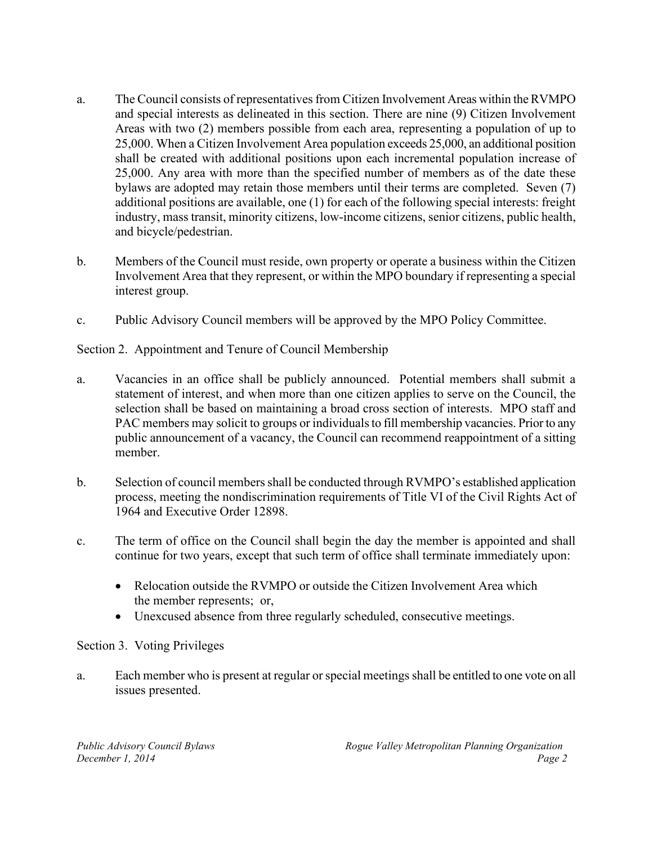- a. The Council consists of representatives from Citizen Involvement Areas within the RVMPO and special interests as delineated in this section. There are nine (9) Citizen Involvement Areas with two (2) members possible from each area, representing a population of up to 25,000. When a Citizen Involvement Area population exceeds 25,000, an additional position shall be created with additional positions upon each incremental population increase of 25,000. Any area with more than the specified number of members as of the date these bylaws are adopted may retain those members until their terms are completed. Seven (7) additional positions are available, one (1) for each of the following special interests: freight industry, mass transit, minority citizens, low-income citizens, senior citizens, public health, and bicycle/pedestrian.
- b. Members of the Council must reside, own property or operate a business within the Citizen Involvement Area that they represent, or within the MPO boundary if representing a special interest group.
- c. Public Advisory Council members will be approved by the MPO Policy Committee.

Section 2. Appointment and Tenure of Council Membership

- a. Vacancies in an office shall be publicly announced. Potential members shall submit a statement of interest, and when more than one citizen applies to serve on the Council, the selection shall be based on maintaining a broad cross section of interests. MPO staff and PAC members may solicit to groups or individuals to fill membership vacancies. Prior to any public announcement of a vacancy, the Council can recommend reappointment of a sitting member.
- b. Selection of council members shall be conducted through RVMPO's established application process, meeting the nondiscrimination requirements of Title VI of the Civil Rights Act of 1964 and Executive Order 12898.
- c. The term of office on the Council shall begin the day the member is appointed and shall continue for two years, except that such term of office shall terminate immediately upon:
	- Relocation outside the RVMPO or outside the Citizen Involvement Area which the member represents; or,
	- Unexcused absence from three regularly scheduled, consecutive meetings.

#### Section 3. Voting Privileges

a. Each member who is present at regular or special meetings shall be entitled to one vote on all issues presented.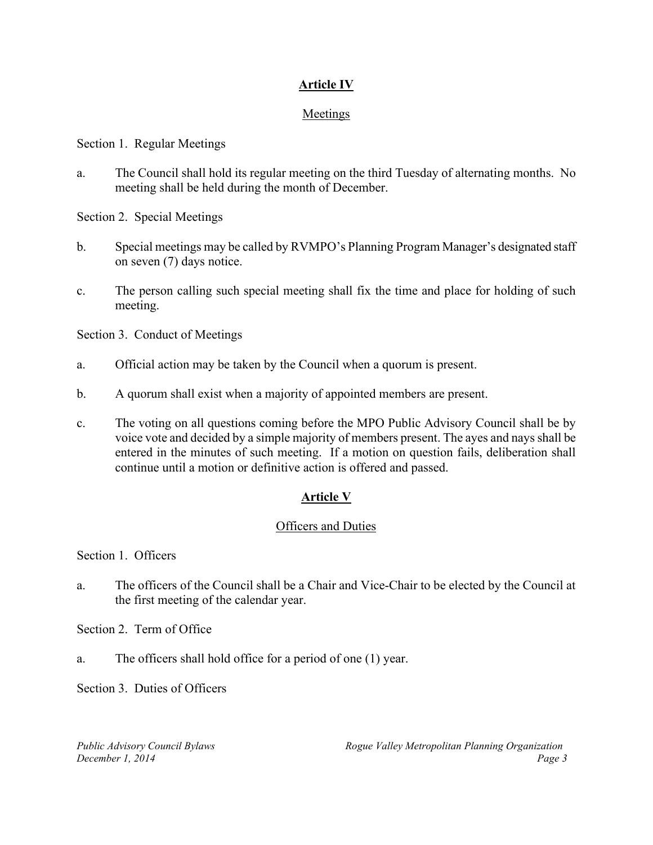#### **Article IV**

#### Meetings

Section 1. Regular Meetings

a. The Council shall hold its regular meeting on the third Tuesday of alternating months. No meeting shall be held during the month of December.

Section 2. Special Meetings

- b. Special meetings may be called by RVMPO's Planning Program Manager's designated staff on seven (7) days notice.
- c. The person calling such special meeting shall fix the time and place for holding of such meeting.

Section 3. Conduct of Meetings

- a. Official action may be taken by the Council when a quorum is present.
- b. A quorum shall exist when a majority of appointed members are present.
- c. The voting on all questions coming before the MPO Public Advisory Council shall be by voice vote and decided by a simple majority of members present. The ayes and nays shall be entered in the minutes of such meeting. If a motion on question fails, deliberation shall continue until a motion or definitive action is offered and passed.

#### **Article V**

#### **Officers and Duties**

Section 1. Officers

a. The officers of the Council shall be a Chair and Vice-Chair to be elected by the Council at the first meeting of the calendar year.

Section 2. Term of Office

a. The officers shall hold office for a period of one (1) year.

Section 3. Duties of Officers